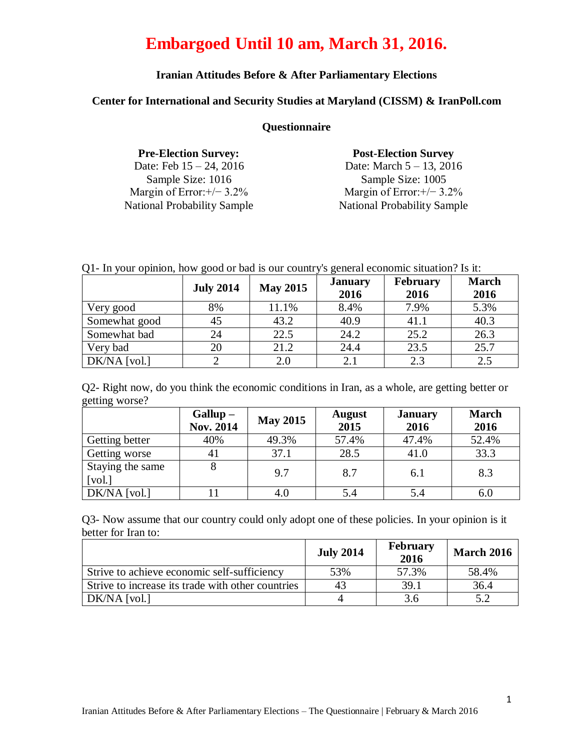### **Iranian Attitudes Before & After Parliamentary Elections**

#### **Center for International and Security Studies at Maryland (CISSM) & IranPoll.com**

#### **Questionnaire**

| <b>Pre-Election Survey:</b>        | <b>Post-Election Survey</b>        |
|------------------------------------|------------------------------------|
| Date: Feb $15 - 24$ , 2016         | Date: March $5 - 13$ , 2016        |
| Sample Size: 1016                  | Sample Size: 1005                  |
| Margin of Error: $+/-$ 3.2%        | Margin of Error: $+/-$ 3.2%        |
| <b>National Probability Sample</b> | <b>National Probability Sample</b> |

|  |  |  |  |  | Q1- In your opinion, how good or bad is our country's general economic situation? Is it: |  |
|--|--|--|--|--|------------------------------------------------------------------------------------------|--|
|  |  |  |  |  |                                                                                          |  |

|                | <b>July 2014</b> | <b>May 2015</b> | <b>January</b><br>2016 | <b>February</b><br>2016 | <b>March</b><br>2016 |
|----------------|------------------|-----------------|------------------------|-------------------------|----------------------|
| Very good      | 8%               | 11.1%           | 8.4%                   | 7.9%                    | 5.3%                 |
| Somewhat good  | 45               | 43.2            | 40.9                   | 41.1                    | 40.3                 |
| Somewhat bad   | 24               | 22.5            | 24.2                   | 25.2                    | 26.3                 |
| Very bad       | 20               | 21.2            | 24.4                   | 23.5                    | 25.7                 |
| $DK/NA$ [vol.] |                  | 2.0             | 2.1                    | 2.3                     | 2.5                  |

Q2- Right now, do you think the economic conditions in Iran, as a whole, are getting better or getting worse?

|                                                 | $Gallup -$<br><b>Nov. 2014</b> | <b>May 2015</b> | <b>August</b><br>2015 | <b>January</b><br>2016 | <b>March</b><br>2016 |
|-------------------------------------------------|--------------------------------|-----------------|-----------------------|------------------------|----------------------|
| Getting better                                  | 40%                            | 49.3%           | 57.4%                 | 47.4%                  | 52.4%                |
| Getting worse                                   | 41                             | 37.1            | 28.5                  | 41.0                   | 33.3                 |
| Staying the same<br>$\lceil \text{vol.} \rceil$ | 8                              | 9.7             | 8.7                   | 6.1                    | 8.3                  |
| $DK/NA$ [vol.]                                  |                                | 4.0             | 5.4                   | 5.4                    | 6.0                  |

Q3- Now assume that our country could only adopt one of these policies. In your opinion is it better for Iran to:

|                                                   | <b>July 2014</b> | <b>February</b><br>2016 | <b>March 2016</b> |
|---------------------------------------------------|------------------|-------------------------|-------------------|
| Strive to achieve economic self-sufficiency       | 53%              | 57.3%                   | 58.4%             |
| Strive to increase its trade with other countries | 43               | 39.1                    | 36.4              |
| DK/NA [vol.]                                      |                  | 3.6                     | 5.2               |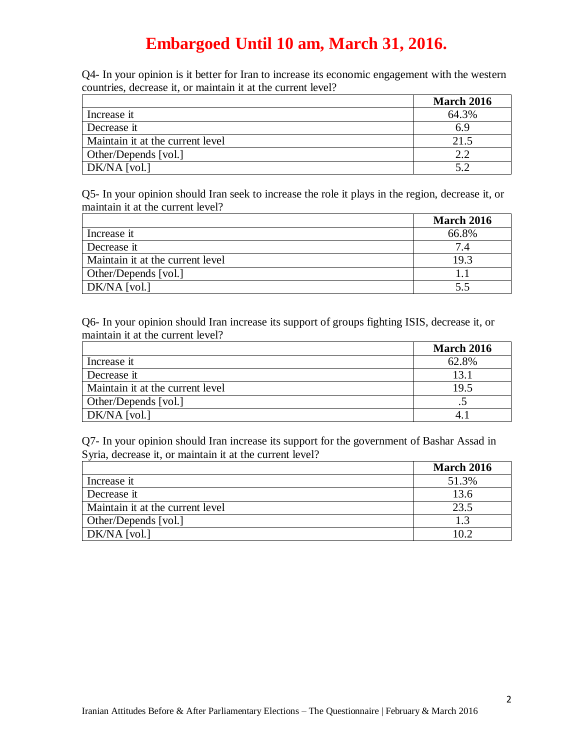Q4- In your opinion is it better for Iran to increase its economic engagement with the western countries, decrease it, or maintain it at the current level?

|                                  | <b>March 2016</b> |
|----------------------------------|-------------------|
| Increase it                      | 64.3%             |
| Decrease it                      | 6.9               |
| Maintain it at the current level | 21.5              |
| Other/Depends [vol.]             | າ າ               |
| DK/NA [vol.]                     |                   |

Q5- In your opinion should Iran seek to increase the role it plays in the region, decrease it, or maintain it at the current level?

|                                  | <b>March 2016</b> |
|----------------------------------|-------------------|
| Increase it                      | 66.8%             |
| Decrease it                      | 74                |
| Maintain it at the current level | 19.3              |
| Other/Depends [vol.]             |                   |
| DK/NA [vol.]                     | 5.5               |

Q6- In your opinion should Iran increase its support of groups fighting ISIS, decrease it, or maintain it at the current level?

|                                  | <b>March 2016</b> |
|----------------------------------|-------------------|
| Increase it                      | 62.8%             |
| Decrease it                      | 131               |
| Maintain it at the current level | 19.5              |
| Other/Depends [vol.]             |                   |
| DK/NA [vol.]                     |                   |

Q7- In your opinion should Iran increase its support for the government of Bashar Assad in Syria, decrease it, or maintain it at the current level?

|                                  | <b>March 2016</b> |
|----------------------------------|-------------------|
| Increase it                      | 51.3%             |
| Decrease it                      | 13.6              |
| Maintain it at the current level | 23.5              |
| Other/Depends [vol.]             | 1.3               |
| DK/NA [vol.]                     | 10 2              |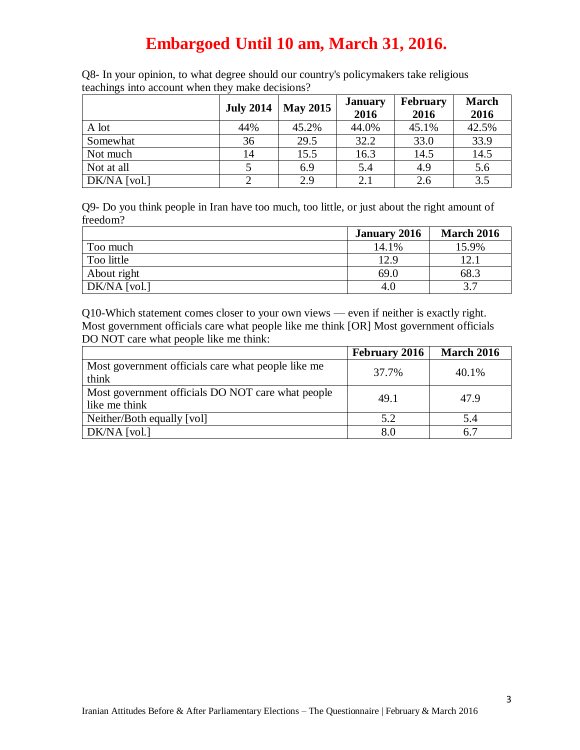| ັ            | <b>July 2014</b> | <b>May 2015</b> | <b>January</b><br>2016 | <b>February</b><br>2016 | <b>March</b><br>2016 |
|--------------|------------------|-----------------|------------------------|-------------------------|----------------------|
| A lot        | 44%              | 45.2%           | 44.0%                  | 45.1%                   | 42.5%                |
| Somewhat     | 36               | 29.5            | 32.2                   | 33.0                    | 33.9                 |
| Not much     | 14               | 15.5            | 16.3                   | 14.5                    | 14.5                 |
| Not at all   |                  | 6.9             | 5.4                    | 4.9                     | 5.6                  |
| DK/NA [vol.] |                  | 2.9             | 2.1                    | 2.6                     | 3.5                  |

Q8- In your opinion, to what degree should our country's policymakers take religious teachings into account when they make decisions?

Q9- Do you think people in Iran have too much, too little, or just about the right amount of freedom?

|                | <b>January 2016</b> | <b>March 2016</b> |
|----------------|---------------------|-------------------|
| Too much       | 14.1%               | 15.9%             |
| Too little     | 12.9                | 12.1              |
| About right    | 69.0                | 68.3              |
| $DK/NA$ [vol.] | 4.0                 | 37                |

Q10-Which statement comes closer to your own views — even if neither is exactly right. Most government officials care what people like me think [OR] Most government officials DO NOT care what people like me think:

|                                                                    | <b>February 2016</b> | <b>March 2016</b> |
|--------------------------------------------------------------------|----------------------|-------------------|
| Most government officials care what people like me<br>think        | 37.7%                | 40.1%             |
| Most government officials DO NOT care what people<br>like me think | 49.1                 | 47.9              |
| Neither/Both equally [vol]                                         | 5.2                  | 5.4               |
| $DK/NA$ [vol.]                                                     | 8.0                  | 6.7               |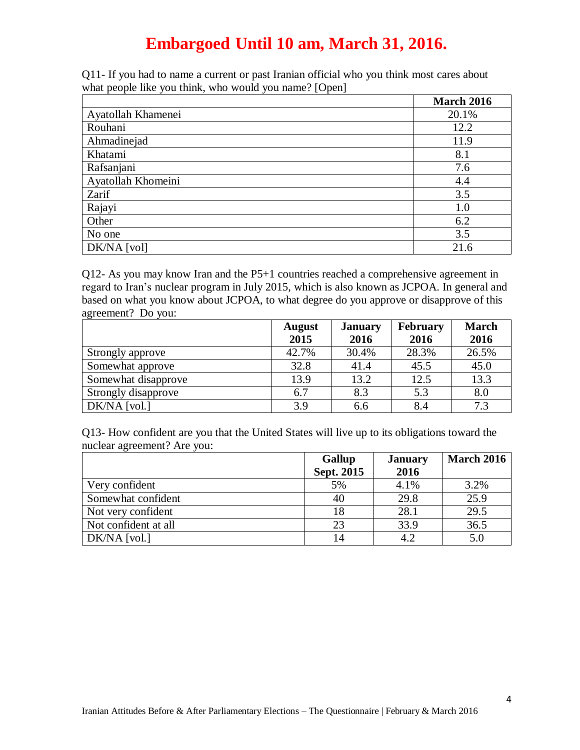Q11- If you had to name a current or past Iranian official who you think most cares about what people like you think, who would you name? [Open]

|                    | <b>March 2016</b> |
|--------------------|-------------------|
| Ayatollah Khamenei | 20.1%             |
| Rouhani            | 12.2              |
| Ahmadinejad        | 11.9              |
| Khatami            | 8.1               |
| Rafsanjani         | 7.6               |
| Ayatollah Khomeini | 4.4               |
| Zarif              | 3.5               |
| Rajayi             | 1.0               |
| Other              | 6.2               |
| No one             | 3.5               |
| DK/NA [vol]        | 21.6              |

Q12- As you may know Iran and the P5+1 countries reached a comprehensive agreement in regard to Iran's nuclear program in July 2015, which is also known as JCPOA. In general and based on what you know about JCPOA, to what degree do you approve or disapprove of this agreement? Do you:

|                     | <b>August</b> | <b>January</b> | <b>February</b> | <b>March</b> |
|---------------------|---------------|----------------|-----------------|--------------|
|                     | 2015          | 2016           | 2016            | 2016         |
| Strongly approve    | 42.7%         | 30.4%          | 28.3%           | 26.5%        |
| Somewhat approve    | 32.8          | 41.4           | 45.5            | 45.0         |
| Somewhat disapprove | 13.9          | 13.2           | 12.5            | 13.3         |
| Strongly disapprove | 6.7           | 8.3            | 5.3             | 8.0          |
| DK/NA [vol.]        | 3.9           | 6.6            | 8.4             | 7.3          |

Q13- How confident are you that the United States will live up to its obligations toward the nuclear agreement? Are you:

|                      | <b>Gallup</b> | <b>January</b> | <b>March 2016</b> |
|----------------------|---------------|----------------|-------------------|
|                      | Sept. 2015    | 2016           |                   |
| Very confident       | 5%            | 4.1%           | 3.2%              |
| Somewhat confident   | 40            | 29.8           | 25.9              |
| Not very confident   | 18            | 28.1           | 29.5              |
| Not confident at all | 23            | 33.9           | 36.5              |
| $DK/NA$ [vol.]       |               | 4.2            | 5.0               |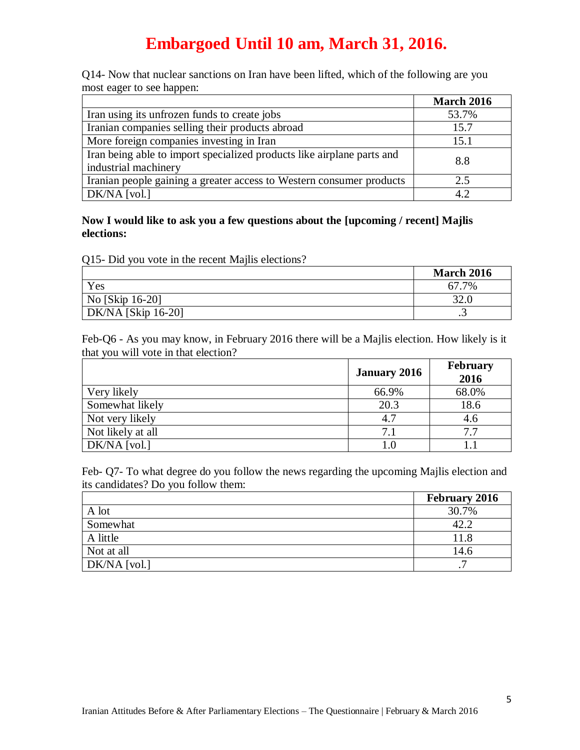Q14- Now that nuclear sanctions on Iran have been lifted, which of the following are you most eager to see happen:

|                                                                        | <b>March 2016</b> |
|------------------------------------------------------------------------|-------------------|
| Iran using its unfrozen funds to create jobs                           | 53.7%             |
| Iranian companies selling their products abroad                        | 15.7              |
| More foreign companies investing in Iran                               | 15.1              |
| Iran being able to import specialized products like airplane parts and | 8.8               |
| industrial machinery                                                   |                   |
| Iranian people gaining a greater access to Western consumer products   | 2.5               |
| DK/NA [vol.]                                                           | 4.2               |

**Now I would like to ask you a few questions about the [upcoming / recent] Majlis elections:**

Q15- Did you vote in the recent Majlis elections?

|                    | <b>March 2016</b> |
|--------------------|-------------------|
| Yes                | 67.7%             |
| No [Skip 16-20]    | 32.0              |
| DK/NA [Skip 16-20] | ت                 |

Feb-Q6 - As you may know, in February 2016 there will be a Majlis election. How likely is it that you will vote in that election?

|                   | <b>January 2016</b> | <b>February</b><br>2016 |
|-------------------|---------------------|-------------------------|
| Very likely       | 66.9%               | 68.0%                   |
| Somewhat likely   | 20.3                | 18.6                    |
| Not very likely   | 4.7                 | 4.6                     |
| Not likely at all | 7.1                 | 7.7                     |
| $DK/NA$ [vol.]    |                     |                         |

Feb- Q7- To what degree do you follow the news regarding the upcoming Majlis election and its candidates? Do you follow them:

|                | <b>February 2016</b> |
|----------------|----------------------|
| A lot          | 30.7%                |
| Somewhat       | 42.2                 |
| A little       | 11.8                 |
| Not at all     | 14.6                 |
| $DK/NA$ [vol.] | −                    |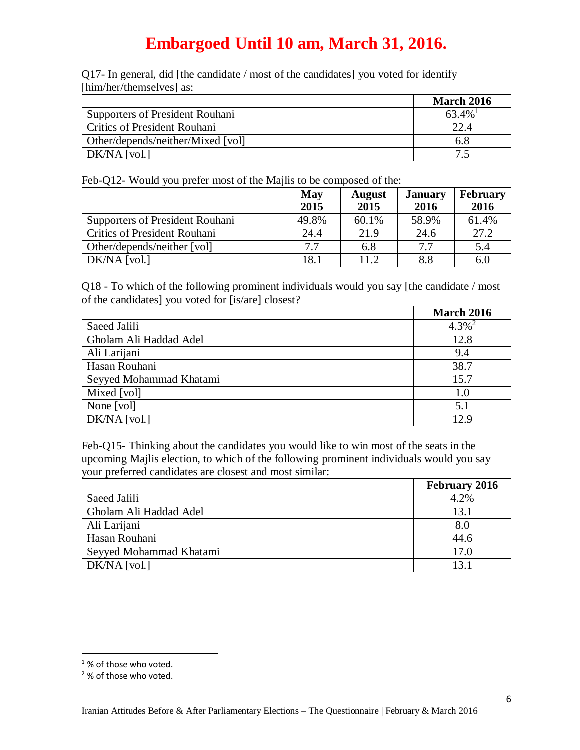Q17- In general, did [the candidate / most of the candidates] you voted for identify [him/her/themselves] as:

|                                        | <b>March 2016</b> |
|----------------------------------------|-------------------|
| <b>Supporters of President Rouhani</b> | $63.4\%$          |
| <b>Critics of President Rouhani</b>    | 22.4              |
| Other/depends/neither/Mixed [vol]      | 6.8               |
| $DK/NA$ [vol.]                         |                   |

Feb-Q12- Would you prefer most of the Majlis to be composed of the:

|                                        | May   | <b>August</b> | <b>January</b> | <b>February</b> |
|----------------------------------------|-------|---------------|----------------|-----------------|
|                                        | 2015  | 2015          | 2016           | 2016            |
| <b>Supporters of President Rouhani</b> | 49.8% | 60.1%         | 58.9%          | 61.4%           |
| <b>Critics of President Rouhani</b>    | 24.4  | 21.9          | 24.6           | 27.2            |
| Other/depends/neither [vol]            | 7.7   | 6.8           | 7.7            | 5.4             |
| DK/NA [vol.]                           | 18.1  | 112           | 8.8            | 6.0             |

Q18 - To which of the following prominent individuals would you say [the candidate / most of the candidates] you voted for [is/are] closest?

|                         | <b>March 2016</b>    |
|-------------------------|----------------------|
| Saeed Jalili            | $4.3\%$ <sup>2</sup> |
| Gholam Ali Haddad Adel  | 12.8                 |
| Ali Larijani            | 9.4                  |
| Hasan Rouhani           | 38.7                 |
| Seyyed Mohammad Khatami | 15.7                 |
| Mixed [vol]             | 1.0                  |
| None [vol]              | 5.1                  |
| DK/NA [vol.]            | 12.9                 |

Feb-Q15- Thinking about the candidates you would like to win most of the seats in the upcoming Majlis election, to which of the following prominent individuals would you say your preferred candidates are closest and most similar:

|                         | <b>February 2016</b> |
|-------------------------|----------------------|
| Saeed Jalili            | 4.2%                 |
| Gholam Ali Haddad Adel  | 13.1                 |
| Ali Larijani            | 8.0                  |
| Hasan Rouhani           | 44.6                 |
| Seyyed Mohammad Khatami | 17.0                 |
| $DK/NA$ [vol.]          | 13.1                 |

 $\overline{a}$ 

<sup>&</sup>lt;sup>1</sup>% of those who voted.

<sup>&</sup>lt;sup>2</sup>% of those who voted.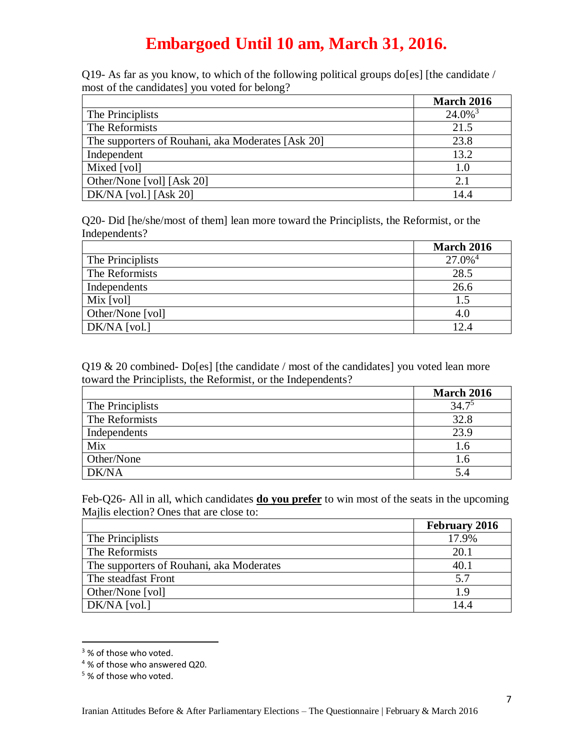Q19- As far as you know, to which of the following political groups do[es] [the candidate / most of the candidates] you voted for belong?

|                                                   | <b>March 2016</b>     |
|---------------------------------------------------|-----------------------|
| The Principlists                                  | $24.0\%$ <sup>3</sup> |
| The Reformists                                    | 21.5                  |
| The supporters of Rouhani, aka Moderates [Ask 20] | 23.8                  |
| Independent                                       | 13.2                  |
| Mixed [vol]                                       | 1.0                   |
| Other/None [vol] [Ask 20]                         | 2.1                   |
| $DK/NA$ [vol.] [Ask 20]                           | 14.4                  |

Q20- Did [he/she/most of them] lean more toward the Principlists, the Reformist, or the Independents?

|                  | <b>March 2016</b>     |
|------------------|-----------------------|
| The Principlists | $27.0\%$ <sup>4</sup> |
| The Reformists   | 28.5                  |
| Independents     | 26.6                  |
| Mix [vol]        | 1.5                   |
| Other/None [vol] | 4.0                   |
| DK/NA [vol.]     | 12.4                  |

Q19 & 20 combined- Do[es] [the candidate / most of the candidates] you voted lean more toward the Principlists, the Reformist, or the Independents?

|                  | <b>March 2016</b> |
|------------------|-------------------|
| The Principlists | $34.7^{5}$        |
| The Reformists   | 32.8              |
| Independents     | 23.9              |
| Mix              | 1.6               |
| Other/None       | 1.6               |
| DK/NA            | 5.4               |

Feb-Q26- All in all, which candidates **do you prefer** to win most of the seats in the upcoming Majlis election? Ones that are close to:

|                                          | <b>February 2016</b> |
|------------------------------------------|----------------------|
| The Principlists                         | 17.9%                |
| The Reformists                           | 20.1                 |
| The supporters of Rouhani, aka Moderates | 40.1                 |
| The steadfast Front                      | 5.7                  |
| Other/None [vol]                         | 1.9                  |
| DK/NA [vol.]                             | 14.4                 |

<sup>&</sup>lt;sup>3</sup>% of those who voted.

 $\overline{a}$ 

<sup>4</sup> % of those who answered Q20.

<sup>&</sup>lt;sup>5</sup>% of those who voted.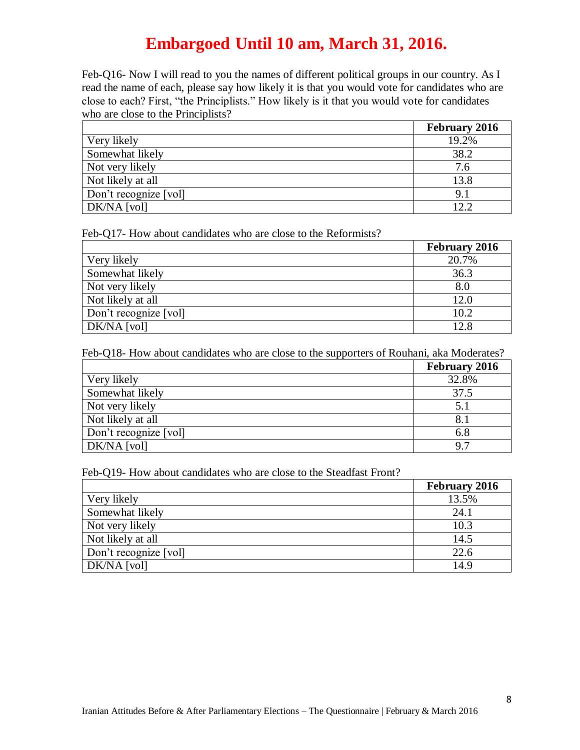Feb-Q16- Now I will read to you the names of different political groups in our country. As I read the name of each, please say how likely it is that you would vote for candidates who are close to each? First, "the Principlists." How likely is it that you would vote for candidates who are close to the Principlists?

|                       | <b>February 2016</b> |
|-----------------------|----------------------|
| Very likely           | 19.2%                |
| Somewhat likely       | 38.2                 |
| Not very likely       | 7.6                  |
| Not likely at all     | 13.8                 |
| Don't recognize [vol] | 9.1                  |
| DK/NA [vol]           | 12.2                 |

Feb-Q17- How about candidates who are close to the Reformists?

|                       | <b>February 2016</b> |
|-----------------------|----------------------|
| Very likely           | 20.7%                |
| Somewhat likely       | 36.3                 |
| Not very likely       | 8.0                  |
| Not likely at all     | 12.0                 |
| Don't recognize [vol] | 10.2                 |
| DK/NA [vol]           | 12.8                 |

Feb-Q18- How about candidates who are close to the supporters of Rouhani, aka Moderates?

|                       | <b>February 2016</b> |
|-----------------------|----------------------|
| Very likely           | 32.8%                |
| Somewhat likely       | 37.5                 |
| Not very likely       | 5.1                  |
| Not likely at all     | 8.1                  |
| Don't recognize [vol] | 6.8                  |
| DK/NA [vol]           | 9.7                  |

Feb-Q19- How about candidates who are close to the Steadfast Front?

|                       | <b>February 2016</b> |
|-----------------------|----------------------|
| Very likely           | 13.5%                |
| Somewhat likely       | 24.1                 |
| Not very likely       | 10.3                 |
| Not likely at all     | 14.5                 |
| Don't recognize [vol] | 22.6                 |
| DK/NA [vol]           | 14.9                 |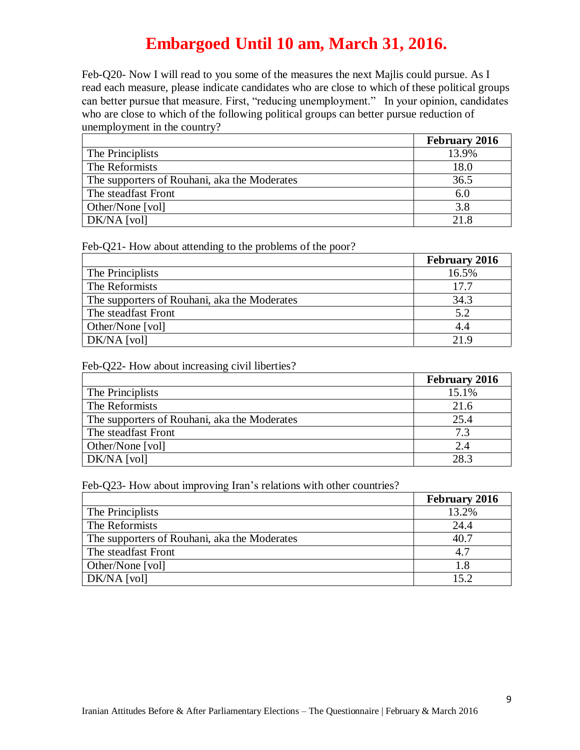Feb-Q20- Now I will read to you some of the measures the next Majlis could pursue. As I read each measure, please indicate candidates who are close to which of these political groups can better pursue that measure. First, "reducing unemployment." In your opinion, candidates who are close to which of the following political groups can better pursue reduction of unemployment in the country?

|                                              | <b>February 2016</b> |
|----------------------------------------------|----------------------|
| The Principlists                             | 13.9%                |
| The Reformists                               | 18.0                 |
| The supporters of Rouhani, aka the Moderates | 36.5                 |
| The steadfast Front                          | 6.0                  |
| Other/None [vol]                             | 3.8                  |
| DK/NA [vol]                                  | 21.8                 |

Feb-Q21- How about attending to the problems of the poor?

|                                              | <b>February 2016</b> |
|----------------------------------------------|----------------------|
| The Principlists                             | 16.5%                |
| The Reformists                               | 17.7                 |
| The supporters of Rouhani, aka the Moderates | 34.3                 |
| The steadfast Front                          | 5.2                  |
| Other/None [vol]                             | 4.4                  |
| DK/NA [vol]                                  | 21.9                 |

Feb-Q22- How about increasing civil liberties?

|                                              | <b>February 2016</b> |
|----------------------------------------------|----------------------|
| The Principlists                             | 15.1%                |
| The Reformists                               | 21.6                 |
| The supporters of Rouhani, aka the Moderates | 25.4                 |
| The steadfast Front                          | 7.3                  |
| Other/None [vol]                             | 2.4                  |
| DK/NA [vol]                                  | 28.3                 |

Feb-Q23- How about improving Iran's relations with other countries?

|                                              | <b>February 2016</b> |
|----------------------------------------------|----------------------|
| The Principlists                             | 13.2%                |
| The Reformists                               | 24.4                 |
| The supporters of Rouhani, aka the Moderates | 40.7                 |
| The steadfast Front                          | 4.7                  |
| Other/None [vol]                             | 1.8                  |
| DK/NA [vol]                                  | 152                  |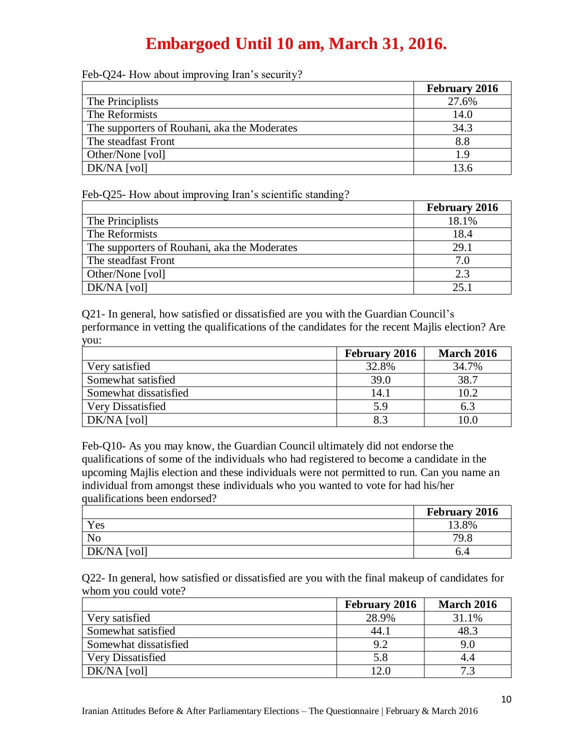|  |  |  | Feb-Q24- How about improving Iran's security? |
|--|--|--|-----------------------------------------------|
|  |  |  |                                               |

|                                              | <b>February 2016</b> |
|----------------------------------------------|----------------------|
| The Principlists                             | 27.6%                |
| The Reformists                               | 14.0                 |
| The supporters of Rouhani, aka the Moderates | 34.3                 |
| The steadfast Front                          | 8.8                  |
| Other/None [vol]                             | 1.9                  |
| DK/NA [vol]                                  | 13.6                 |

Feb-Q25- How about improving Iran's scientific standing?

|                                              | <b>February 2016</b> |
|----------------------------------------------|----------------------|
| The Principlists                             | 18.1%                |
| The Reformists                               | 18.4                 |
| The supporters of Rouhani, aka the Moderates | 29.1                 |
| The steadfast Front                          | 7.0                  |
| Other/None [vol]                             | 2.3                  |
| $DK/NA$ [vol]                                | 25.1                 |

Q21- In general, how satisfied or dissatisfied are you with the Guardian Council's performance in vetting the qualifications of the candidates for the recent Majlis election? Are you:

|                       | <b>February 2016</b> | <b>March 2016</b> |
|-----------------------|----------------------|-------------------|
| Very satisfied        | 32.8%                | 34.7%             |
| Somewhat satisfied    | 39.0                 | 38.7              |
| Somewhat dissatisfied | 14.1                 | 10.2              |
| Very Dissatisfied     | 5.9                  | 6.3               |
| DK/NA [vol]           | 8.3                  | 10.0              |

Feb-Q10- As you may know, the Guardian Council ultimately did not endorse the qualifications of some of the individuals who had registered to become a candidate in the upcoming Majlis election and these individuals were not permitted to run. Can you name an individual from amongst these individuals who you wanted to vote for had his/her qualifications been endorsed?

|                | <b>February 2016</b> |
|----------------|----------------------|
| Yes            | 13.8%                |
| N <sub>o</sub> | 79.8                 |
| DK/NA [vol]    | b.4                  |

Q22- In general, how satisfied or dissatisfied are you with the final makeup of candidates for whom you could vote?

|                       | <b>February 2016</b> | <b>March 2016</b> |
|-----------------------|----------------------|-------------------|
| Very satisfied        | 28.9%                | 31.1%             |
| Somewhat satisfied    | 44.1                 | 48.3              |
| Somewhat dissatisfied | 9.2                  | 9.0               |
| Very Dissatisfied     | 5.8                  |                   |
| DK/NA [vol]           | 12.0                 | 72                |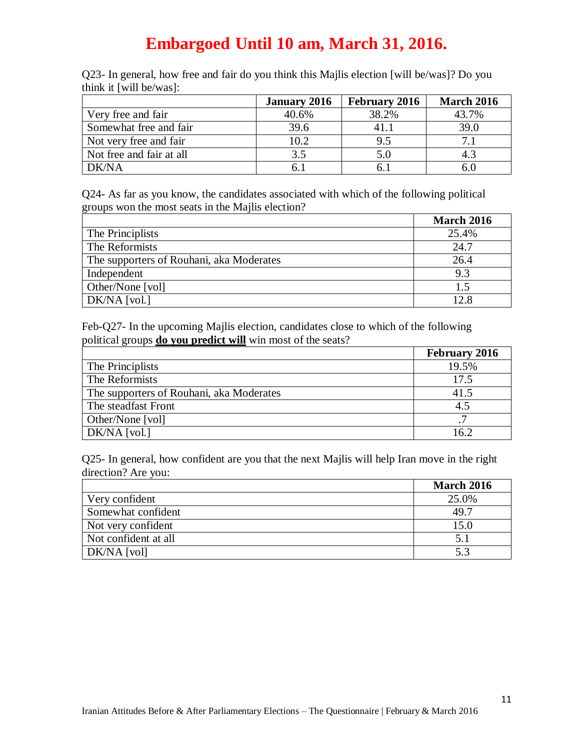Q23- In general, how free and fair do you think this Majlis election [will be/was]? Do you think it [will be/was]:

|                          | <b>January 2016</b> | <b>February 2016</b> | <b>March 2016</b> |
|--------------------------|---------------------|----------------------|-------------------|
| Very free and fair       | 40.6%               | 38.2%                | 43.7%             |
| Somewhat free and fair   | 39.6                | 41.1                 | 39.0              |
| Not very free and fair   | 10.2                | 9.5                  | 7.1               |
| Not free and fair at all | 3.5                 | 5.0                  |                   |
| DK/NA                    |                     | რ.:                  |                   |

Q24- As far as you know, the candidates associated with which of the following political groups won the most seats in the Majlis election?

|                                          | <b>March 2016</b> |
|------------------------------------------|-------------------|
| The Principlists                         | 25.4%             |
| The Reformists                           | 24.7              |
| The supporters of Rouhani, aka Moderates | 26.4              |
| Independent                              | 9.3               |
| Other/None [vol]                         | 1.5               |
| $DK/NA$ [vol.]                           | 12.8              |

Feb-Q27- In the upcoming Majlis election, candidates close to which of the following political groups **do you predict will** win most of the seats?

|                                          | <b>February 2016</b> |
|------------------------------------------|----------------------|
| The Principlists                         | 19.5%                |
| The Reformists                           | 17.5                 |
| The supporters of Rouhani, aka Moderates | 41.5                 |
| The steadfast Front                      | 4.5                  |
| Other/None [vol]                         | 7                    |
| $DK/NA$ [vol.]                           | 16.2                 |

Q25- In general, how confident are you that the next Majlis will help Iran move in the right direction? Are you:

|                      | <b>March 2016</b> |
|----------------------|-------------------|
| Very confident       | 25.0%             |
| Somewhat confident   | 49.7              |
| Not very confident   | 15.0              |
| Not confident at all | 5.1               |
| $DK/NA$ [vol]        | 5.3               |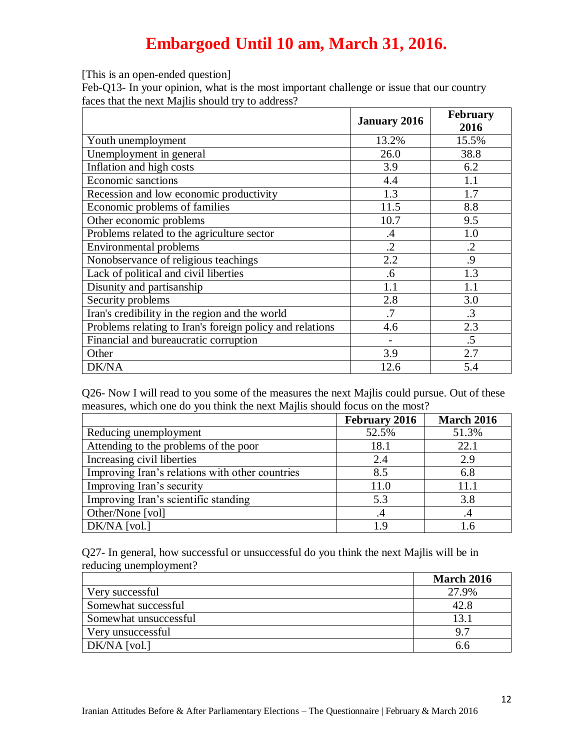[This is an open-ended question]

Feb-Q13- In your opinion, what is the most important challenge or issue that our country faces that the next Majlis should try to address?

|                                                          | <b>January 2016</b> | <b>February</b><br>2016 |
|----------------------------------------------------------|---------------------|-------------------------|
| Youth unemployment                                       | 13.2%               | 15.5%                   |
| Unemployment in general                                  | 26.0                | 38.8                    |
| Inflation and high costs                                 | 3.9                 | 6.2                     |
| <b>Economic sanctions</b>                                | 4.4                 | 1.1                     |
| Recession and low economic productivity                  | 1.3                 | 1.7                     |
| Economic problems of families                            | 11.5                | 8.8                     |
| Other economic problems                                  | 10.7                | 9.5                     |
| Problems related to the agriculture sector               | .4                  | 1.0                     |
| <b>Environmental problems</b>                            | $\cdot$ .2          | $\cdot$ .2              |
| Nonobservance of religious teachings                     | 2.2                 | .9                      |
| Lack of political and civil liberties                    | .6                  | 1.3                     |
| Disunity and partisanship                                | 1.1                 | 1.1                     |
| Security problems                                        | 2.8                 | 3.0                     |
| Iran's credibility in the region and the world           | .7                  | $\cdot$ 3               |
| Problems relating to Iran's foreign policy and relations | 4.6                 | 2.3                     |
| Financial and bureaucratic corruption                    |                     | .5                      |
| Other                                                    | 3.9                 | 2.7                     |
| DK/NA                                                    | 12.6                | 5.4                     |

Q26- Now I will read to you some of the measures the next Majlis could pursue. Out of these measures, which one do you think the next Majlis should focus on the most?

|                                                 | <b>February 2016</b> | <b>March 2016</b> |
|-------------------------------------------------|----------------------|-------------------|
| Reducing unemployment                           | 52.5%                | 51.3%             |
| Attending to the problems of the poor           | 18.1                 | 22.1              |
| Increasing civil liberties                      | 2.4                  | 2.9               |
| Improving Iran's relations with other countries | 8.5                  | 6.8               |
| Improving Iran's security                       | 11.0                 | 11.1              |
| Improving Iran's scientific standing            | 5.3                  | 3.8               |
| Other/None [vol]                                | .4                   | .4                |
| $DK/NA$ [vol.]                                  | 19                   |                   |

Q27- In general, how successful or unsuccessful do you think the next Majlis will be in reducing unemployment?

|                       | <b>March 2016</b> |
|-----------------------|-------------------|
| Very successful       | 27.9%             |
| Somewhat successful   | 42.8              |
| Somewhat unsuccessful | 13.1              |
| Very unsuccessful     | 9.7               |
| DK/NA [vol.]          | h.h               |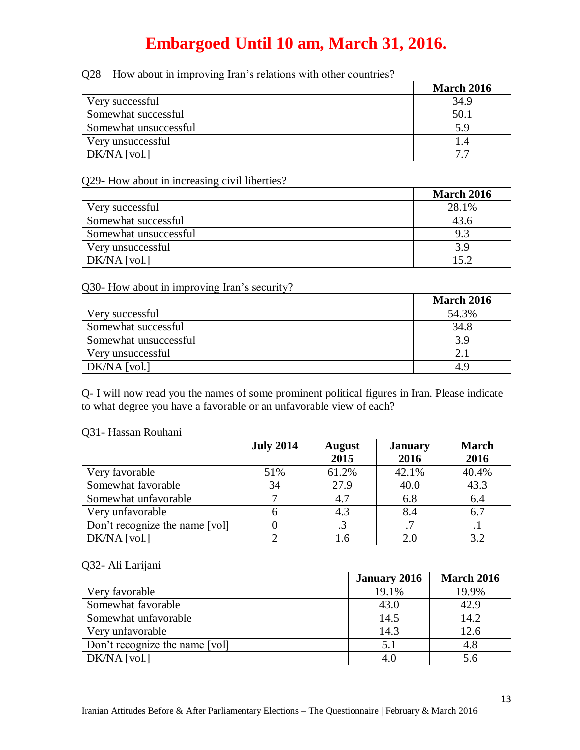| Q28 – How about in improving Iran's relations with other countries? |  |  |  |
|---------------------------------------------------------------------|--|--|--|
|                                                                     |  |  |  |

|                       | <b>March 2016</b> |
|-----------------------|-------------------|
| Very successful       | 34.9              |
| Somewhat successful   | 50.1              |
| Somewhat unsuccessful | 5.9               |
| Very unsuccessful     | I.4               |
| DK/NA [vol.]          | 77                |

#### Q29- How about in increasing civil liberties?

|                       | <b>March 2016</b> |
|-----------------------|-------------------|
| Very successful       | 28.1%             |
| Somewhat successful   | 43.6              |
| Somewhat unsuccessful | 9.3               |
| Very unsuccessful     | 3.9               |
| $DK/NA$ [vol.]        | 152               |

#### Q30- How about in improving Iran's security?

|                       | <b>March 2016</b> |
|-----------------------|-------------------|
| Very successful       | 54.3%             |
| Somewhat successful   | 34.8              |
| Somewhat unsuccessful | 3.9               |
| Very unsuccessful     |                   |
| $DK/NA$ [vol.]        | 4.9               |

Q- I will now read you the names of some prominent political figures in Iran. Please indicate to what degree you have a favorable or an unfavorable view of each?

#### Q31- Hassan Rouhani

|                                | <b>July 2014</b> | <b>August</b><br>2015 | <b>January</b><br>2016 | <b>March</b><br>2016 |
|--------------------------------|------------------|-----------------------|------------------------|----------------------|
| Very favorable                 | 51%              | 61.2%                 | 42.1%                  | 40.4%                |
| Somewhat favorable             | 34               | 27.9                  | 40.0                   | 43.3                 |
| Somewhat unfavorable           |                  | 4.7                   | 6.8                    | 6.4                  |
| Very unfavorable               |                  | 4.3                   | 8.4                    | 6.7                  |
| Don't recognize the name [vol] |                  |                       |                        |                      |
| $DK/NA$ [vol.]                 |                  |                       | 2.(                    | 3.2                  |

#### Q32- Ali Larijani

|                                | <b>January 2016</b> | <b>March 2016</b> |
|--------------------------------|---------------------|-------------------|
| Very favorable                 | 19.1%               | 19.9%             |
| Somewhat favorable             | 43.0                | 42.9              |
| Somewhat unfavorable           | 14.5                | 14.2              |
| Very unfavorable               | 14.3                | 12.6              |
| Don't recognize the name [vol] | 5.1                 | 4.8               |
| $DK/NA$ [vol.]                 | 4.0                 | 5.6               |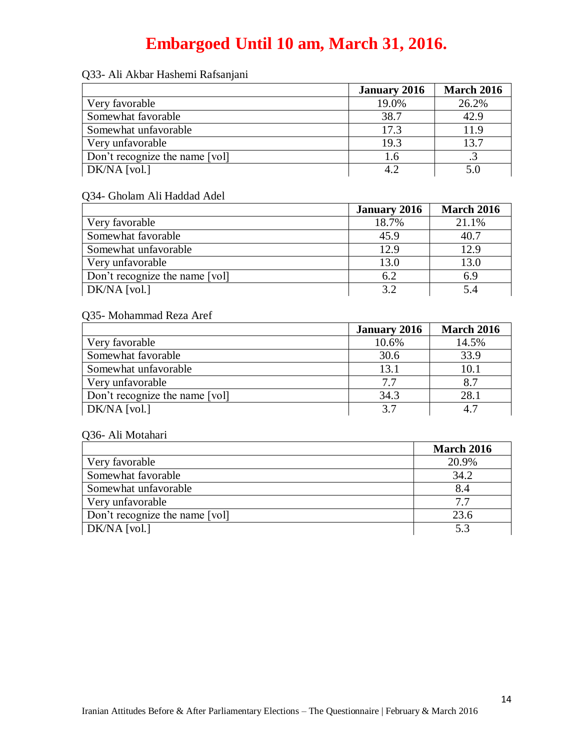|                                | <b>January 2016</b> | <b>March 2016</b> |
|--------------------------------|---------------------|-------------------|
| Very favorable                 | 19.0%               | 26.2%             |
| Somewhat favorable             | 38.7                | 42.9              |
| Somewhat unfavorable           | 17.3                | 11.9              |
| Very unfavorable               | 19.3                | 13.7              |
| Don't recognize the name [vol] | 1.6                 |                   |
| DK/NA [vol.]                   | 4.2                 | 5.0               |

#### Q33- Ali Akbar Hashemi Rafsanjani

#### Q34- Gholam Ali Haddad Adel

|                                | <b>January 2016</b> | <b>March 2016</b> |
|--------------------------------|---------------------|-------------------|
| Very favorable                 | 18.7%               | 21.1%             |
| Somewhat favorable             | 45.9                | 40.7              |
| Somewhat unfavorable           | 12.9                | 12.9              |
| Very unfavorable               | 13.0                | 13.0              |
| Don't recognize the name [vol] | 6.2                 | 6.9               |
| DK/NA [vol.]                   | 32                  | 5.4               |

### Q35- Mohammad Reza Aref

|                                | <b>January 2016</b> | <b>March 2016</b> |
|--------------------------------|---------------------|-------------------|
| Very favorable                 | 10.6%               | 14.5%             |
| Somewhat favorable             | 30.6                | 33.9              |
| Somewhat unfavorable           | 13.1                | 10.1              |
| Very unfavorable               | 7.7                 | 8.7               |
| Don't recognize the name [vol] | 34.3                | 28.1              |
| $DK/NA$ [vol.]                 | 3.7                 | 4.7               |

#### Q36- Ali Motahari

|                                | <b>March 2016</b> |
|--------------------------------|-------------------|
| Very favorable                 | 20.9%             |
| Somewhat favorable             | 34.2              |
| Somewhat unfavorable           | 8.4               |
| Very unfavorable               | 7.7               |
| Don't recognize the name [vol] | 23.6              |
| $DK/NA$ [vol.]                 | 5.3               |